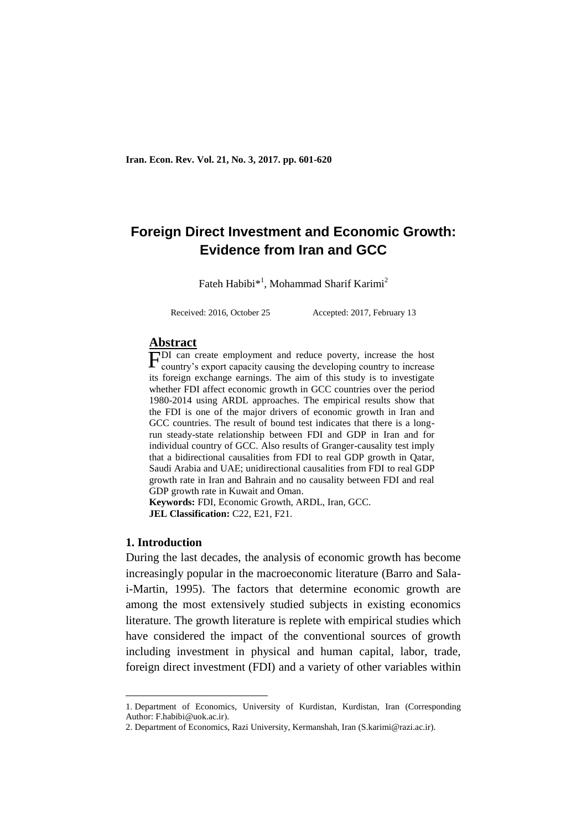# **Foreign Direct Investment and Economic Growth: Evidence from Iran and GCC**

Fateh Habibi\*<sup>1</sup>, Mohammad Sharif Karimi<sup>2</sup>

Received: 2016, October 25 Accepted: 2017, February 13

### **Abstract**

FDI can create employment and reduce poverty, increase the host country's export capacity causing the developing country to increase country's export capacity causing the developing country to increase its foreign exchange earnings. The aim of this study is to investigate whether FDI affect economic growth in GCC countries over the period 1980-2014 using ARDL approaches. The empirical results show that the FDI is one of the major drivers of economic growth in Iran and GCC countries. The result of bound test indicates that there is a longrun steady-state relationship between FDI and GDP in Iran and for individual country of GCC. Also results of Granger-causality test imply that a bidirectional causalities from FDI to real GDP growth in Qatar, Saudi Arabia and UAE; unidirectional causalities from FDI to real GDP growth rate in Iran and Bahrain and no causality between FDI and real GDP growth rate in Kuwait and Oman.

**Keywords:** FDI, Economic Growth, ARDL, Iran, GCC. **JEL Classification: C22, E21, F21.** 

#### **1. Introduction**

-

During the last decades, the analysis of economic growth has become increasingly popular in the macroeconomic literature (Barro and Salai-Martin, 1995). The factors that determine economic growth are among the most extensively studied subjects in existing economics literature. The growth literature is replete with empirical studies which have considered the impact of the conventional sources of growth including investment in physical and human capital, labor, trade, foreign direct investment (FDI) and a variety of other variables within

<sup>1..</sup>Department of Economics, University of Kurdistan, Kurdistan, Iran (Corresponding Author: F.habibi@uok.ac.ir).

<sup>2.</sup> Department of Economics, Razi University, Kermanshah, Iran (S.karimi@razi.ac.ir).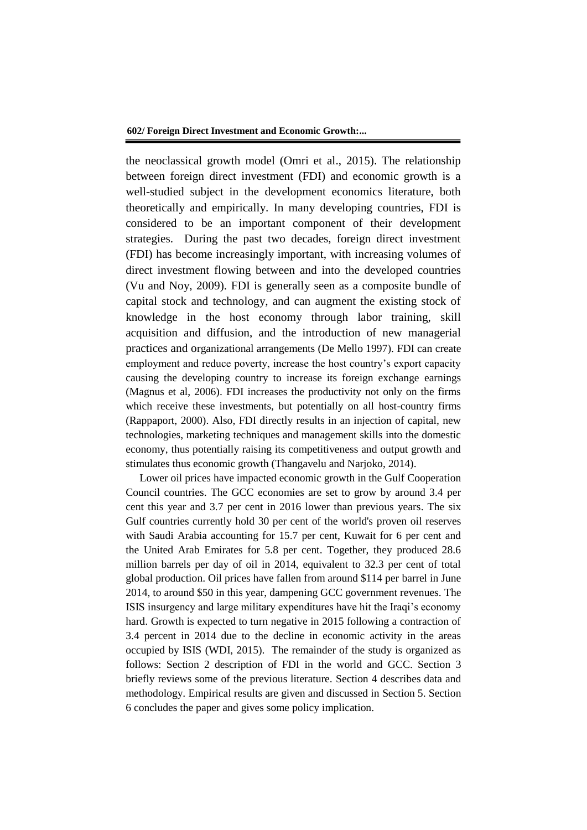the neoclassical growth model (Omri et al., 2015). The relationship between foreign direct investment (FDI) and economic growth is a well-studied subject in the development economics literature, both theoretically and empirically. In many developing countries, FDI is considered to be an important component of their development strategies. During the past two decades, foreign direct investment (FDI) has become increasingly important, with increasing volumes of direct investment flowing between and into the developed countries (Vu and Noy, 2009). FDI is generally seen as a composite bundle of capital stock and technology, and can augment the existing stock of knowledge in the host economy through labor training, skill acquisition and diffusion, and the introduction of new managerial practices and organizational arrangements (De Mello 1997). FDI can create employment and reduce poverty, increase the host country's export capacity causing the developing country to increase its foreign exchange earnings (Magnus et al, 2006). FDI increases the productivity not only on the firms which receive these investments, but potentially on all host-country firms (Rappaport, 2000). Also, FDI directly results in an injection of capital, new technologies, marketing techniques and management skills into the domestic economy, thus potentially raising its competitiveness and output growth and stimulates thus economic growth (Thangavelu and Narjoko, 2014).

Lower oil prices have impacted economic growth in the Gulf Cooperation Council countries. The GCC economies are set to grow by around 3.4 per cent this year and 3.7 per cent in 2016 lower than previous years. The six Gulf countries currently hold 30 per cent of the world's proven oil reserves with Saudi Arabia accounting for 15.7 per cent, Kuwait for 6 per cent and the United Arab Emirates for 5.8 per cent. Together, they produced 28.6 million barrels per day of oil in 2014, equivalent to 32.3 per cent of total global production. Oil prices have fallen from around \$114 per barrel in June 2014, to around \$50 in this year, dampening GCC government revenues. The ISIS insurgency and large military expenditures have hit the Iraqi's economy hard. Growth is expected to turn negative in 2015 following a contraction of 3.4 percent in 2014 due to the decline in economic activity in the areas occupied by ISIS (WDI, 2015). The remainder of the study is organized as follows: Section 2 description of FDI in the world and GCC. Section 3 briefly reviews some of the previous literature. Section 4 describes data and methodology. Empirical results are given and discussed in Section 5. Section 6 concludes the paper and gives some policy implication.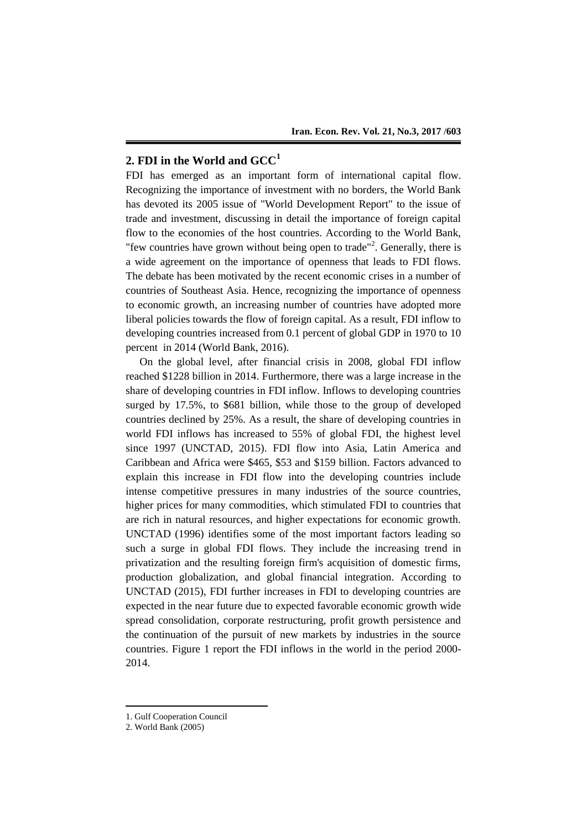## **2. FDI in the World and GCC<sup>1</sup>**

FDI has emerged as an important form of international capital flow. Recognizing the importance of investment with no borders, the World Bank has devoted its 2005 issue of "World Development Report" to the issue of trade and investment, discussing in detail the importance of foreign capital flow to the economies of the host countries. According to the World Bank, "few countries have grown without being open to trade"<sup>2</sup>. Generally, there is a wide agreement on the importance of openness that leads to FDI flows. The debate has been motivated by the recent economic crises in a number of countries of Southeast Asia. Hence, recognizing the importance of openness to economic growth, an increasing number of countries have adopted more liberal policies towards the flow of foreign capital. As a result, FDI inflow to developing countries increased from 0.1 percent of global GDP in 1970 to 10 percent in 2014 (World Bank, 2016).

On the global level, after financial crisis in 2008, global FDI inflow reached \$1228 billion in 2014. Furthermore, there was a large increase in the share of developing countries in FDI inflow. Inflows to developing countries surged by 17.5%, to \$681 billion, while those to the group of developed countries declined by 25%. As a result, the share of developing countries in world FDI inflows has increased to 55% of global FDI, the highest level since 1997 (UNCTAD, 2015). FDI flow into Asia, Latin America and Caribbean and Africa were \$465, \$53 and \$159 billion. Factors advanced to explain this increase in FDI flow into the developing countries include intense competitive pressures in many industries of the source countries, higher prices for many commodities, which stimulated FDI to countries that are rich in natural resources, and higher expectations for economic growth. UNCTAD (1996) identifies some of the most important factors leading so such a surge in global FDI flows. They include the increasing trend in privatization and the resulting foreign firm's acquisition of domestic firms, production globalization, and global financial integration. According to UNCTAD (2015), FDI further increases in FDI to developing countries are expected in the near future due to expected favorable economic growth wide spread consolidation, corporate restructuring, profit growth persistence and the continuation of the pursuit of new markets by industries in the source countries. Figure 1 report the FDI inflows in the world in the period 2000- 2014.

-

<sup>1.</sup> Gulf Cooperation Council

<sup>2.</sup> World Bank (2005)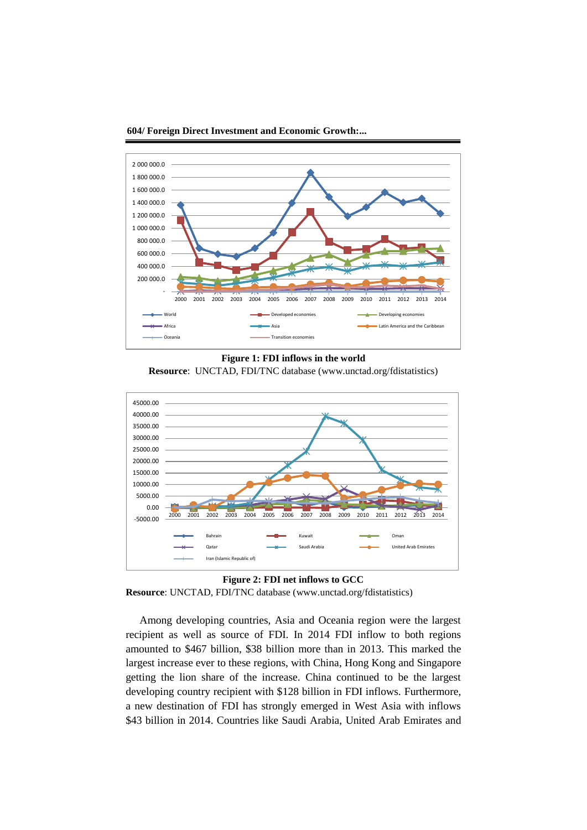

**604/ Foreign Direct Investment and Economic Growth:...**

**Figure 1: FDI inflows in the world**

**Resource**: UNCTAD, FDI/TNC database (www.unctad.org/fdistatistics)



**Figure 2: FDI net inflows to GCC Resource**: UNCTAD, FDI/TNC database (www.unctad.org/fdistatistics)

Among developing countries, Asia and Oceania region were the largest recipient as well as source of FDI. In 2014 FDI inflow to both regions amounted to \$467 billion, \$38 billion more than in 2013. This marked the largest increase ever to these regions, with China, Hong Kong and Singapore getting the lion share of the increase. China continued to be the largest developing country recipient with \$128 billion in FDI inflows. Furthermore, a new destination of FDI has strongly emerged in West Asia with inflows \$43 billion in 2014. Countries like Saudi Arabia, United Arab Emirates and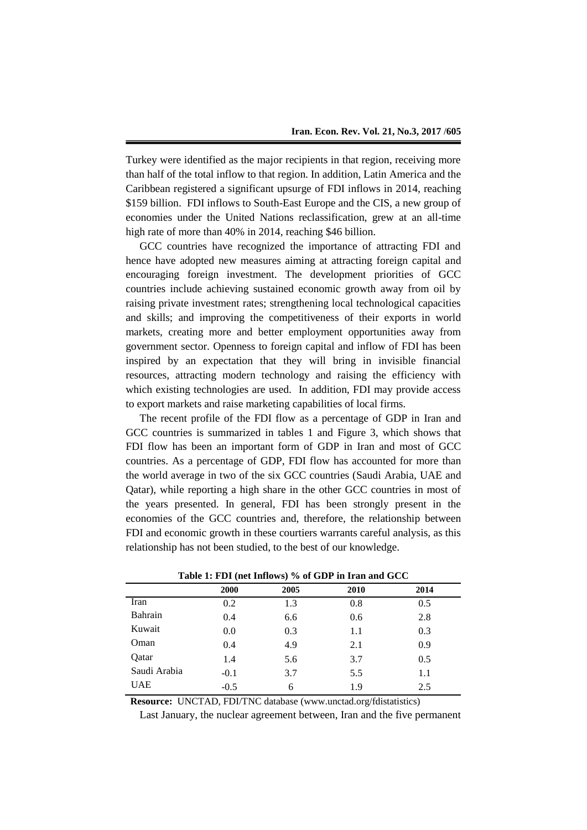Turkey were identified as the major recipients in that region, receiving more than half of the total inflow to that region. In addition, Latin America and the Caribbean registered a significant upsurge of FDI inflows in 2014, reaching \$159 billion. FDI inflows to South-East Europe and the CIS, a new group of economies under the United Nations reclassification, grew at an all-time high rate of more than 40% in 2014, reaching \$46 billion.

GCC countries have recognized the importance of attracting FDI and hence have adopted new measures aiming at attracting foreign capital and encouraging foreign investment. The development priorities of GCC countries include achieving sustained economic growth away from oil by raising private investment rates; strengthening local technological capacities and skills; and improving the competitiveness of their exports in world markets, creating more and better employment opportunities away from government sector. Openness to foreign capital and inflow of FDI has been inspired by an expectation that they will bring in invisible financial resources, attracting modern technology and raising the efficiency with which existing technologies are used. In addition, FDI may provide access to export markets and raise marketing capabilities of local firms.

The recent profile of the FDI flow as a percentage of GDP in Iran and GCC countries is summarized in tables 1 and Figure 3, which shows that FDI flow has been an important form of GDP in Iran and most of GCC countries. As a percentage of GDP, FDI flow has accounted for more than the world average in two of the six GCC countries (Saudi Arabia, UAE and Qatar), while reporting a high share in the other GCC countries in most of the years presented. In general, FDI has been strongly present in the economies of the GCC countries and, therefore, the relationship between FDI and economic growth in these courtiers warrants careful analysis, as this relationship has not been studied, to the best of our knowledge.

|              | 2000   | 2005 | 2010 | 2014 |  |
|--------------|--------|------|------|------|--|
| Iran         | 0.2    | 1.3  | 0.8  | 0.5  |  |
| Bahrain      | 0.4    | 6.6  | 0.6  | 2.8  |  |
| Kuwait       | 0.0    | 0.3  | 1.1  | 0.3  |  |
| Oman         | 0.4    | 4.9  | 2.1  | 0.9  |  |
| Qatar        | 1.4    | 5.6  | 3.7  | 0.5  |  |
| Saudi Arabia | $-0.1$ | 3.7  | 5.5  | 1.1  |  |
| <b>UAE</b>   | $-0.5$ | 6    | 1.9  | 2.5  |  |
|              |        |      |      |      |  |

**Table 1: FDI (net Inflows) % of GDP in Iran and GCC**

**Resource:**UNCTAD, FDI/TNC database (www.unctad.org/fdistatistics)

Last January, the nuclear agreement between, Iran and the five permanent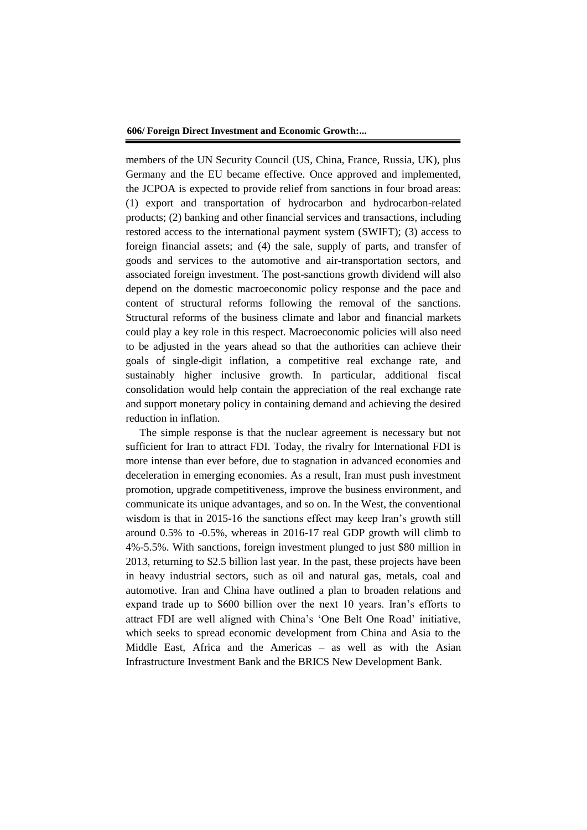members of the UN Security Council (US, China, France, Russia, UK), plus Germany and the EU became effective. Once approved and implemented, the JCPOA is expected to provide relief from sanctions in four broad areas: (1) export and transportation of hydrocarbon and hydrocarbon-related products; (2) banking and other financial services and transactions, including restored access to the international payment system (SWIFT); (3) access to foreign financial assets; and (4) the sale, supply of parts, and transfer of goods and services to the automotive and air-transportation sectors, and associated foreign investment. The post-sanctions growth dividend will also depend on the domestic macroeconomic policy response and the pace and content of structural reforms following the removal of the sanctions. Structural reforms of the business climate and labor and financial markets could play a key role in this respect. Macroeconomic policies will also need to be adjusted in the years ahead so that the authorities can achieve their goals of single-digit inflation, a competitive real exchange rate, and sustainably higher inclusive growth. In particular, additional fiscal consolidation would help contain the appreciation of the real exchange rate and support monetary policy in containing demand and achieving the desired reduction in inflation.

The simple response is that the nuclear agreement is necessary but not sufficient for Iran to attract FDI. Today, the rivalry for International FDI is more intense than ever before, due to stagnation in advanced economies and deceleration in emerging economies. As a result, Iran must push investment promotion, upgrade competitiveness, improve the business environment, and communicate its unique advantages, and so on. In the West, the conventional wisdom is that in 2015-16 the sanctions effect may keep Iran's growth still around 0.5% to -0.5%, whereas in 2016-17 real GDP growth will climb to 4%-5.5%. With sanctions, foreign investment plunged to just \$80 million in 2013, returning to \$2.5 billion last year. In the past, these projects have been in heavy industrial sectors, such as oil and natural gas, metals, coal and automotive. Iran and China have outlined a plan to broaden relations and expand trade up to \$600 billion over the next 10 years. Iran's efforts to attract FDI are well aligned with China's 'One Belt One Road' initiative, which seeks to spread economic development from China and Asia to the Middle East, Africa and the Americas – as well as with the Asian Infrastructure Investment Bank and the BRICS New Development Bank.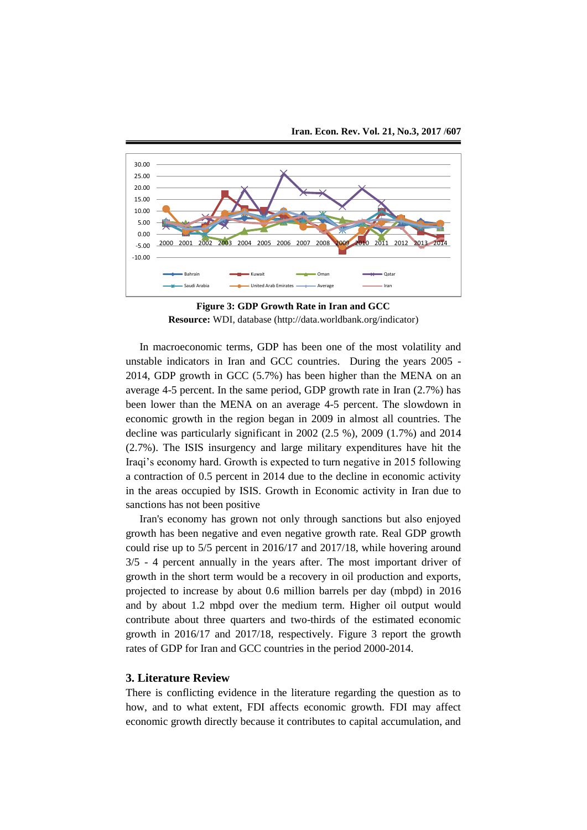

**Figure 3: GDP Growth Rate in Iran and GCC Resource:** WDI, database (http://data.worldbank.org/indicator)

In macroeconomic terms, GDP has been one of the most volatility and unstable indicators in Iran and GCC countries. During the years 2005 - 2014, GDP growth in GCC (5.7%) has been higher than the MENA on an average 4-5 percent. In the same period, GDP growth rate in Iran (2.7%) has been lower than the MENA on an average 4-5 percent. The slowdown in economic growth in the region began in 2009 in almost all countries. The decline was particularly significant in 2002 (2.5 %), 2009 (1.7%) and 2014 (2.7%). The ISIS insurgency and large military expenditures have hit the Iraqi's economy hard. Growth is expected to turn negative in 2015 following a contraction of 0.5 percent in 2014 due to the decline in economic activity in the areas occupied by ISIS. Growth in Economic activity in Iran due to sanctions has not been positive

Iran's economy has grown not only through sanctions but also enjoyed growth has been negative and even negative growth rate. Real GDP growth could rise up to 5/5 percent in 2016/17 and 2017/18, while hovering around 3/5 - 4 percent annually in the years after. The most important driver of growth in the short term would be a recovery in oil production and exports, projected to increase by about 0.6 million barrels per day (mbpd) in 2016 and by about 1.2 mbpd over the medium term. Higher oil output would contribute about three quarters and two-thirds of the estimated economic growth in 2016/17 and 2017/18, respectively. Figure 3 report the growth rates of GDP for Iran and GCC countries in the period 2000-2014.

#### **3. Literature Review**

There is conflicting evidence in the literature regarding the question as to how, and to what extent, FDI affects economic growth. FDI may affect economic growth directly because it contributes to capital accumulation, and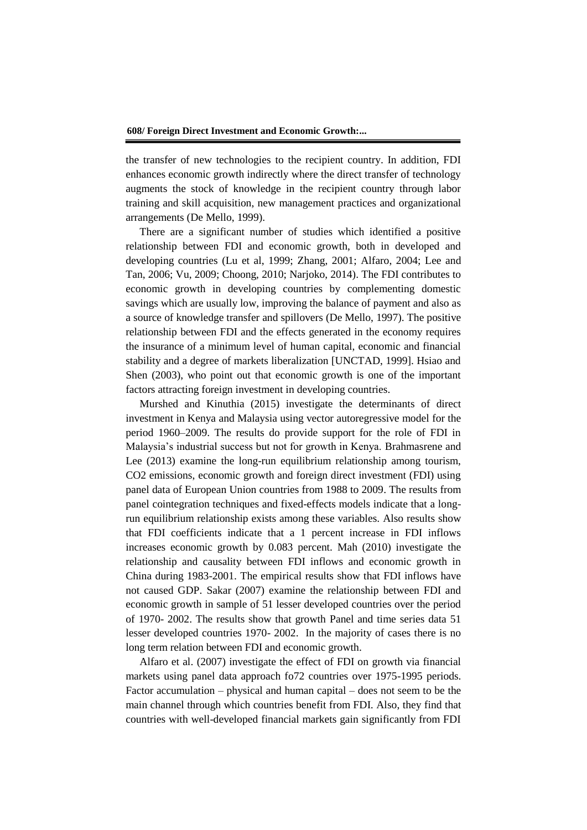the transfer of new technologies to the recipient country. In addition, FDI enhances economic growth indirectly where the direct transfer of technology augments the stock of knowledge in the recipient country through labor training and skill acquisition, new management practices and organizational arrangements (De Mello, 1999).

There are a significant number of studies which identified a positive relationship between FDI and economic growth, both in developed and developing countries (Lu et al, 1999; Zhang, 2001; Alfaro, 2004; Lee and Tan, 2006; Vu, 2009; Choong, 2010; Narjoko, 2014). The FDI contributes to economic growth in developing countries by complementing domestic savings which are usually low, improving the balance of payment and also as a source of knowledge transfer and spillovers (De Mello, 1997). The positive relationship between FDI and the effects generated in the economy requires the insurance of a minimum level of human capital, economic and financial stability and a degree of markets liberalization [UNCTAD, 1999]. Hsiao and Shen (2003), who point out that economic growth is one of the important factors attracting foreign investment in developing countries.

Murshed and Kinuthia (2015) investigate the determinants of direct investment in Kenya and Malaysia using vector autoregressive model for the period 1960–2009. The results do provide support for the role of FDI in Malaysia's industrial success but not for growth in Kenya. Brahmasrene and Lee (2013) examine the long-run equilibrium relationship among tourism, CO2 emissions, economic growth and foreign direct investment (FDI) using panel data of European Union countries from 1988 to 2009. The results from panel cointegration techniques and fixed-effects models indicate that a longrun equilibrium relationship exists among these variables. Also results show that FDI coefficients indicate that a 1 percent increase in FDI inflows increases economic growth by 0.083 percent. Mah (2010) investigate the relationship and causality between FDI inflows and economic growth in China during 1983-2001. The empirical results show that FDI inflows have not caused GDP. Sakar (2007) examine the relationship between FDI and economic growth in sample of 51 lesser developed countries over the period of 1970- 2002. The results show that growth Panel and time series data 51 lesser developed countries 1970- 2002. In the majority of cases there is no long term relation between FDI and economic growth.

Alfaro et al. (2007) investigate the effect of FDI on growth via financial markets using panel data approach fo72 countries over 1975-1995 periods. Factor accumulation – physical and human capital – does not seem to be the main channel through which countries benefit from FDI. Also, they find that countries with well-developed financial markets gain significantly from FDI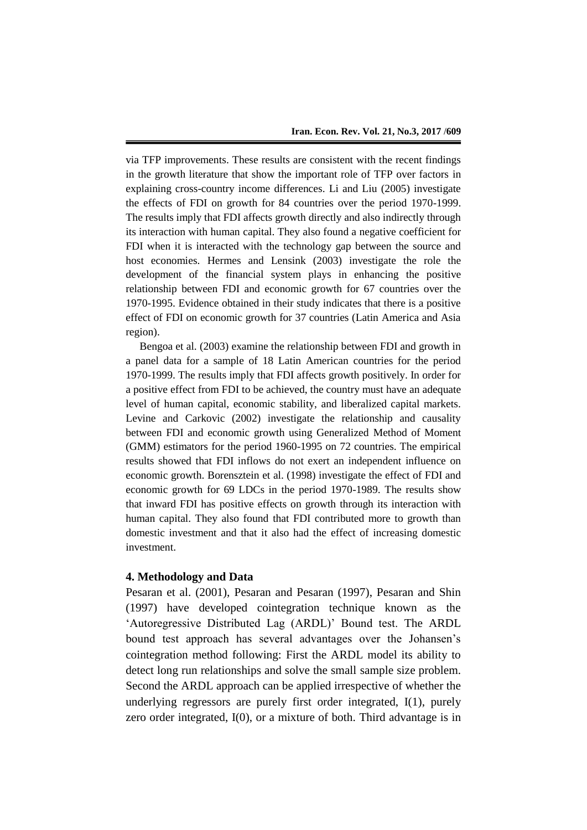via TFP improvements. These results are consistent with the recent findings in the growth literature that show the important role of TFP over factors in explaining cross-country income differences. Li and Liu (2005) investigate the effects of FDI on growth for 84 countries over the period 1970-1999. The results imply that FDI affects growth directly and also indirectly through its interaction with human capital. They also found a negative coefficient for FDI when it is interacted with the technology gap between the source and host economies. Hermes and Lensink (2003) investigate the role the development of the financial system plays in enhancing the positive relationship between FDI and economic growth for 67 countries over the 1970-1995. Evidence obtained in their study indicates that there is a positive effect of FDI on economic growth for 37 countries (Latin America and Asia region).

Bengoa et al. (2003) examine the relationship between FDI and growth in a panel data for a sample of 18 Latin American countries for the period 1970-1999. The results imply that FDI affects growth positively. In order for a positive effect from FDI to be achieved, the country must have an adequate level of human capital, economic stability, and liberalized capital markets. Levine and Carkovic (2002) investigate the relationship and causality between FDI and economic growth using Generalized Method of Moment (GMM) estimators for the period 1960-1995 on 72 countries. The empirical results showed that FDI inflows do not exert an independent influence on economic growth. Borensztein et al. (1998) investigate the effect of FDI and economic growth for 69 LDCs in the period 1970-1989. The results show that inward FDI has positive effects on growth through its interaction with human capital. They also found that FDI contributed more to growth than domestic investment and that it also had the effect of increasing domestic investment.

## **4. Methodology and Data**

Pesaran et al. (2001), Pesaran and Pesaran (1997), Pesaran and Shin (1997) have developed cointegration technique known as the 'Autoregressive Distributed Lag (ARDL)' Bound test. The ARDL bound test approach has several advantages over the Johansen's cointegration method following: First the ARDL model its ability to detect long run relationships and solve the small sample size problem. Second the ARDL approach can be applied irrespective of whether the underlying regressors are purely first order integrated, I(1), purely zero order integrated, I(0), or a mixture of both. Third advantage is in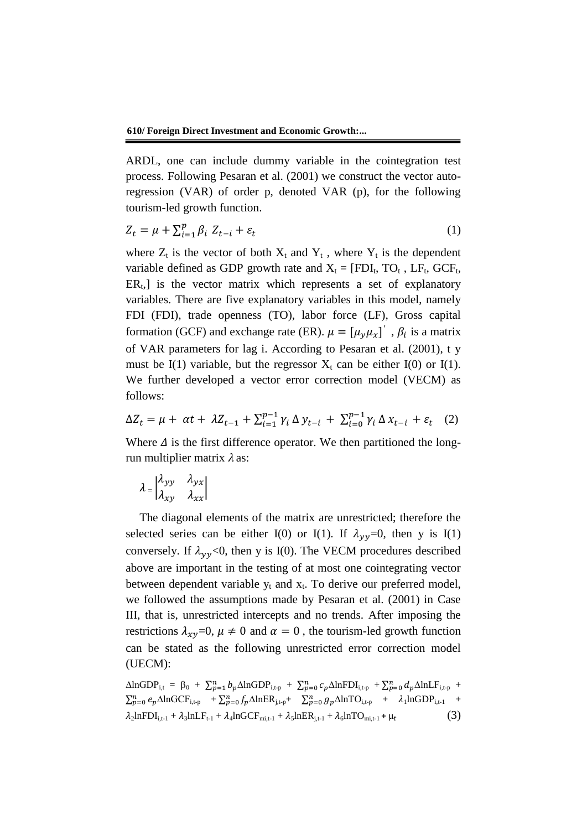ARDL, one can include dummy variable in the cointegration test process. Following Pesaran et al. (2001) we construct the vector autoregression (VAR) of order p, denoted VAR (p), for the following tourism-led growth function.

$$
Z_t = \mu + \sum_{i=1}^p \beta_i \ Z_{t-i} + \varepsilon_t \tag{1}
$$

where  $Z_t$  is the vector of both  $X_t$  and  $Y_t$ , where  $Y_t$  is the dependent variable defined as GDP growth rate and  $X_t = [FDI_t, TO_t, LF_t, GCF_t,$  $ER_t$ , is the vector matrix which represents a set of explanatory variables. There are five explanatory variables in this model, namely FDI (FDI), trade openness (TO), labor force (LF), Gross capital formation (GCF) and exchange rate (ER).  $\mu = [\mu_y \mu_x]'$ ,  $\beta_i$  is a matrix of VAR parameters for lag i. According to Pesaran et al. (2001), t y must be I(1) variable, but the regressor  $X_t$  can be either I(0) or I(1). We further developed a vector error correction model (VECM) as follows:

$$
\Delta Z_t = \mu + \alpha t + \lambda Z_{t-1} + \sum_{i=1}^{p-1} \gamma_i \Delta y_{t-i} + \sum_{i=0}^{p-1} \gamma_i \Delta x_{t-i} + \varepsilon_t \quad (2)
$$

Where  $\Delta$  is the first difference operator. We then partitioned the longrun multiplier matrix  $\lambda$  as:

$$
\lambda = \begin{vmatrix} \lambda_{yy} & \lambda_{yx} \\ \lambda_{xy} & \lambda_{xx} \end{vmatrix}
$$

The diagonal elements of the matrix are unrestricted; therefore the selected series can be either I(0) or I(1). If  $\lambda_{\gamma y} = 0$ , then y is I(1) conversely. If  $\lambda_{yy}$ <0, then y is I(0). The VECM procedures described above are important in the testing of at most one cointegrating vector between dependent variable  $y_t$  and  $x_t$ . To derive our preferred model, we followed the assumptions made by Pesaran et al. (2001) in Case III, that is, unrestricted intercepts and no trends. After imposing the restrictions  $\lambda_{\gamma\nu}$ =0,  $\mu \neq 0$  and  $\alpha = 0$ , the tourism-led growth function can be stated as the following unrestricted error correction model (UECM):

$$
\Delta \text{lnGDP}_{i,t} = \beta_0 + \sum_{p=1}^{n} b_p \Delta \text{lnGDP}_{i,t-p} + \sum_{p=0}^{n} c_p \Delta \text{lnFDI}_{i,t-p} + \sum_{p=0}^{n} d_p \Delta \text{lnLF}_{i,t-p} + \sum_{p=0}^{n} e_p \Delta \text{lnGCF}_{i,t-p} + \sum_{p=0}^{n} f_p \Delta \text{lnER}_{j,t-p} + \sum_{p=0}^{n} g_p \Delta \text{lnTO}_{i,t-p} + \lambda_1 \text{lnGDP}_{i,t-1} + \lambda_2 \text{lnFDI}_{i,t-1} + \lambda_3 \text{lnLF}_{t-1} + \lambda_4 \text{lnGCF}_{mi,t-1} + \lambda_5 \text{lnER}_{j,t-1} + \lambda_6 \text{lnTO}_{mi,t-1} + \mu_t
$$
\n(3)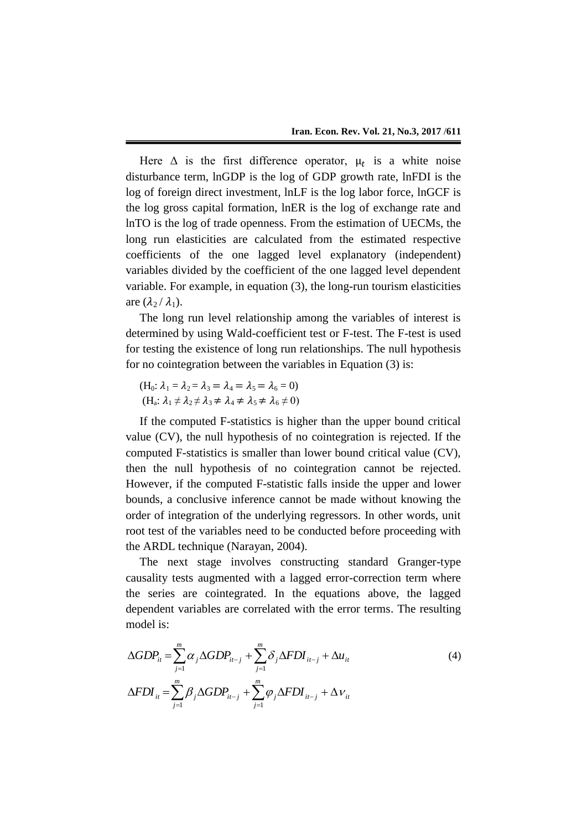Here  $\Delta$  is the first difference operator,  $\mu_t$  is a white noise disturbance term, lnGDP is the log of GDP growth rate, lnFDI is the log of foreign direct investment, lnLF is the log labor force, lnGCF is the log gross capital formation, lnER is the log of exchange rate and lnTO is the log of trade openness. From the estimation of UECMs, the long run elasticities are calculated from the estimated respective coefficients of the one lagged level explanatory (independent) variables divided by the coefficient of the one lagged level dependent variable. For example, in equation (3), the long-run tourism elasticities are  $(\lambda_2 / \lambda_1)$ .

The long run level relationship among the variables of interest is determined by using Wald-coefficient test or F-test. The F-test is used for testing the existence of long run relationships. The null hypothesis for no cointegration between the variables in Equation (3) is:

 $(H_0: \lambda_1 = \lambda_2 = \lambda_3 = \lambda_4 = \lambda_5 = \lambda_6 = 0)$  $(H_a: \lambda_1 \neq \lambda_2 \neq \lambda_3 \neq \lambda_4 \neq \lambda_5 \neq \lambda_6 \neq 0)$ 

If the computed F-statistics is higher than the upper bound critical value (CV), the null hypothesis of no cointegration is rejected. If the computed F-statistics is smaller than lower bound critical value (CV), then the null hypothesis of no cointegration cannot be rejected. However, if the computed F-statistic falls inside the upper and lower bounds, a conclusive inference cannot be made without knowing the order of integration of the underlying regressors. In other words, unit root test of the variables need to be conducted before proceeding with the ARDL technique (Narayan, 2004).

The next stage involves constructing standard Granger-type causality tests augmented with a lagged error-correction term where the series are cointegrated. In the equations above, the lagged dependent variables are correlated with the error terms. The resulting model is:

$$
\Delta GDP_{it} = \sum_{j=1}^{m} \alpha_j \Delta GDP_{it-j} + \sum_{j=1}^{m} \delta_j \Delta FDI_{it-j} + \Delta u_{it}
$$
\n
$$
\Delta FDI_{it} = \sum_{j=1}^{m} \beta_j \Delta GDP_{it-j} + \sum_{j=1}^{m} \varphi_j \Delta FDI_{it-j} + \Delta v_{it}
$$
\n(4)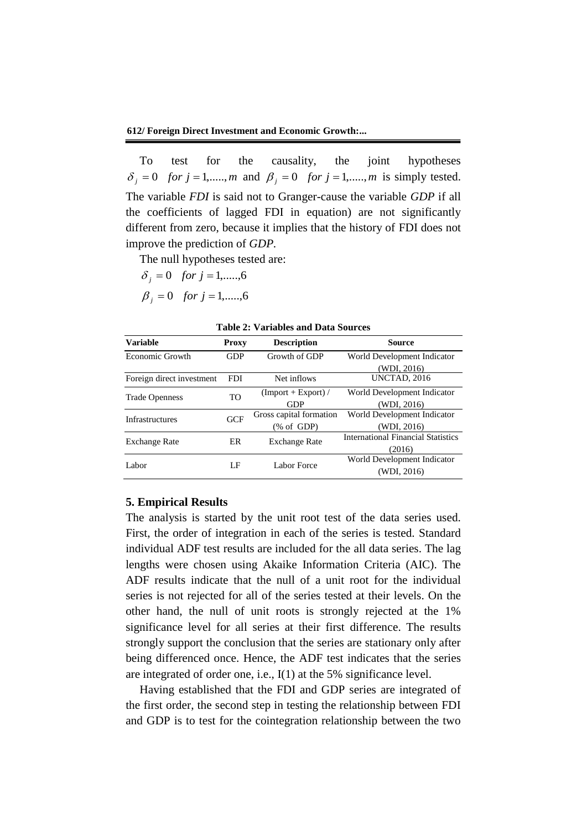To test for the causality, the joint hypotheses  $\delta_j = 0$  *for*  $j = 1, \dots, m$  and  $\beta_j = 0$  *for*  $j = 1, \dots, m$  is simply tested. The variable *FDI* is said not to Granger-cause the variable *GDP* if all the coefficients of lagged FDI in equation) are not significantly different from zero, because it implies that the history of FDI does not improve the prediction of *GDP.*

The null hypotheses tested are:

$$
\delta_j = 0
$$
 for  $j = 1, \dots, 6$   
\n $\beta_j = 0$  for  $j = 1, \dots, 6$ 

| <b>Variable</b>           | <b>Proxy</b> | <b>Description</b>      | <b>Source</b>                             |  |  |
|---------------------------|--------------|-------------------------|-------------------------------------------|--|--|
| Economic Growth           | <b>GDP</b>   | Growth of GDP           | World Development Indicator               |  |  |
|                           |              |                         | (WDI, 2016)                               |  |  |
| Foreign direct investment | <b>FDI</b>   | Net inflows             | UNCTAD, 2016                              |  |  |
| <b>Trade Openness</b>     | <b>TO</b>    | $(Import + Expert)$     | World Development Indicator               |  |  |
|                           |              | <b>GDP</b>              | (WDI, 2016)                               |  |  |
| <b>Infrastructures</b>    | <b>GCF</b>   | Gross capital formation | World Development Indicator               |  |  |
|                           |              | $(\% \text{ of GDP})$   | (WDI. 2016)                               |  |  |
| <b>Exchange Rate</b>      | ER           | <b>Exchange Rate</b>    | <b>International Financial Statistics</b> |  |  |
|                           |              |                         | (2016)                                    |  |  |
|                           |              |                         | World Development Indicator               |  |  |
| Labor                     | LF           | Labor Force             | (WDI, 2016)                               |  |  |

|  | Table 2: Variables and Data Sources |  |  |
|--|-------------------------------------|--|--|
|--|-------------------------------------|--|--|

#### **5. Empirical Results**

The analysis is started by the unit root test of the data series used. First, the order of integration in each of the series is tested. Standard individual ADF test results are included for the all data series. The lag lengths were chosen using Akaike Information Criteria (AIC). The ADF results indicate that the null of a unit root for the individual series is not rejected for all of the series tested at their levels. On the other hand, the null of unit roots is strongly rejected at the 1% significance level for all series at their first difference. The results strongly support the conclusion that the series are stationary only after being differenced once. Hence, the ADF test indicates that the series are integrated of order one, i.e., I(1) at the 5% significance level.

Having established that the FDI and GDP series are integrated of the first order, the second step in testing the relationship between FDI and GDP is to test for the cointegration relationship between the two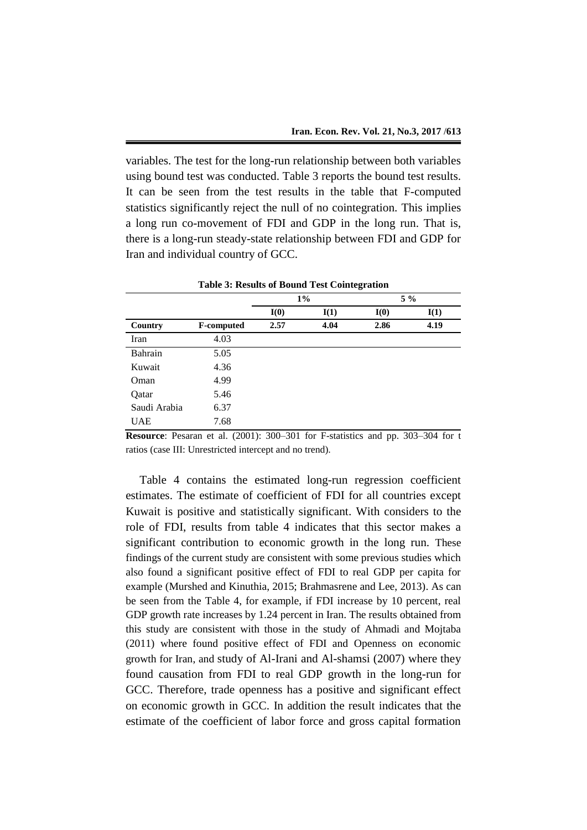variables. The test for the long-run relationship between both variables using bound test was conducted. Table 3 reports the bound test results. It can be seen from the test results in the table that F-computed statistics significantly reject the null of no cointegration. This implies a long run co-movement of FDI and GDP in the long run. That is, there is a long-run steady-state relationship between FDI and GDP for Iran and individual country of GCC.

| <b>Table 3: Results of Bound Test Cointegration</b> |                   |       |      |       |      |
|-----------------------------------------------------|-------------------|-------|------|-------|------|
|                                                     |                   | $1\%$ |      | $5\%$ |      |
|                                                     |                   | I(0)  | I(1) | I(0)  | I(1) |
| Country                                             | <b>F-computed</b> | 2.57  | 4.04 | 2.86  | 4.19 |
| Iran                                                | 4.03              |       |      |       |      |
| Bahrain                                             | 5.05              |       |      |       |      |
| Kuwait                                              | 4.36              |       |      |       |      |
| Oman                                                | 4.99              |       |      |       |      |
| Qatar                                               | 5.46              |       |      |       |      |
| Saudi Arabia                                        | 6.37              |       |      |       |      |
| <b>UAE</b>                                          | 7.68              |       |      |       |      |

**Resource**: Pesaran et al. (2001): 300–301 for F-statistics and pp. 303–304 for t ratios (case III: Unrestricted intercept and no trend).

Table 4 contains the estimated long-run regression coefficient estimates. The estimate of coefficient of FDI for all countries except Kuwait is positive and statistically significant. With considers to the role of FDI, results from table 4 indicates that this sector makes a significant contribution to economic growth in the long run. These findings of the current study are consistent with some previous studies which also found a significant positive effect of FDI to real GDP per capita for example (Murshed and Kinuthia, 2015; Brahmasrene and Lee, 2013). As can be seen from the Table 4, for example, if FDI increase by 10 percent, real GDP growth rate increases by 1.24 percent in Iran. The results obtained from this study are consistent with those in the study of Ahmadi and Mojtaba (2011) where found positive effect of FDI and Openness on economic growth for Iran, and study of Al-Irani and Al-shamsi (2007) where they found causation from FDI to real GDP growth in the long-run for GCC. Therefore, trade openness has a positive and significant effect on economic growth in GCC. In addition the result indicates that the estimate of the coefficient of labor force and gross capital formation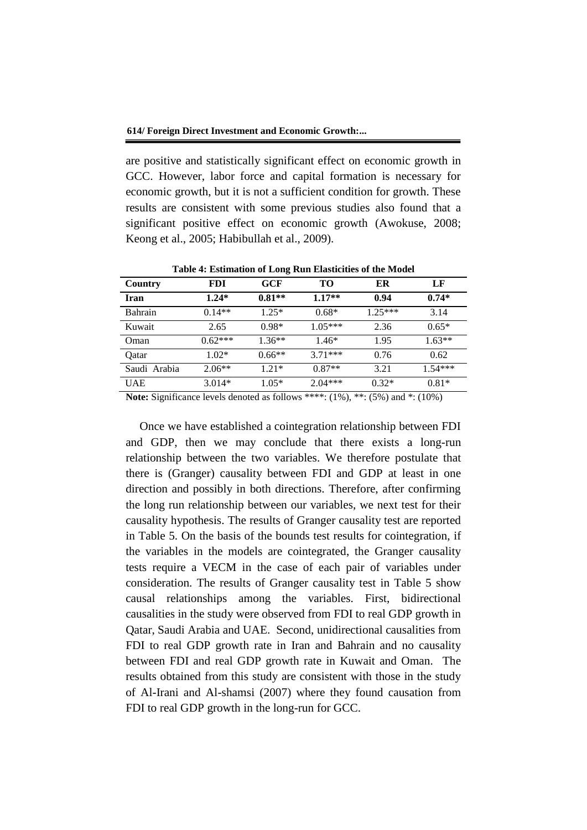are positive and statistically significant effect on economic growth in GCC. However, labor force and capital formation is necessary for economic growth, but it is not a sufficient condition for growth. These results are consistent with some previous studies also found that a significant positive effect on economic growth (Awokuse, 2008; Keong et al., 2005; Habibullah et al., 2009).

| Country        | <b>FDI</b> | GCF      | TО        | ER        | LF        |
|----------------|------------|----------|-----------|-----------|-----------|
| Iran           | $1.24*$    | $0.81**$ | $1.17**$  | 0.94      | $0.74*$   |
| <b>Bahrain</b> | $0.14**$   | $1.25*$  | $0.68*$   | $1.25***$ | 3.14      |
| Kuwait         | 2.65       | $0.98*$  | $1.05***$ | 2.36      | $0.65*$   |
| Oman           | $0.62***$  | $1.36**$ | $1.46*$   | 1.95      | $1.63**$  |
| Oatar          | $1.02*$    | $0.66**$ | $3.71***$ | 0.76      | 0.62      |
| Saudi Arabia   | $2.06**$   | $1.21*$  | $0.87**$  | 3.21      | $1.54***$ |
| <b>UAE</b>     | $3.014*$   | $1.05*$  | $2.04***$ | $0.32*$   | $0.81*$   |

**Table 4: Estimation of Long Run Elasticities of the Model**

**Note:** Significance levels denoted as follows \*\*\*\*: (1%), \*\*: (5%) and \*: (10%)

Once we have established a cointegration relationship between FDI and GDP, then we may conclude that there exists a long-run relationship between the two variables. We therefore postulate that there is (Granger) causality between FDI and GDP at least in one direction and possibly in both directions. Therefore, after confirming the long run relationship between our variables, we next test for their causality hypothesis. The results of Granger causality test are reported in Table 5. On the basis of the bounds test results for cointegration, if the variables in the models are cointegrated, the Granger causality tests require a VECM in the case of each pair of variables under consideration. The results of Granger causality test in Table 5 show causal relationships among the variables. First, bidirectional causalities in the study were observed from FDI to real GDP growth in Qatar, Saudi Arabia and UAE. Second, unidirectional causalities from FDI to real GDP growth rate in Iran and Bahrain and no causality between FDI and real GDP growth rate in Kuwait and Oman. The results obtained from this study are consistent with those in the study of Al-Irani and Al-shamsi (2007) where they found causation from FDI to real GDP growth in the long-run for GCC.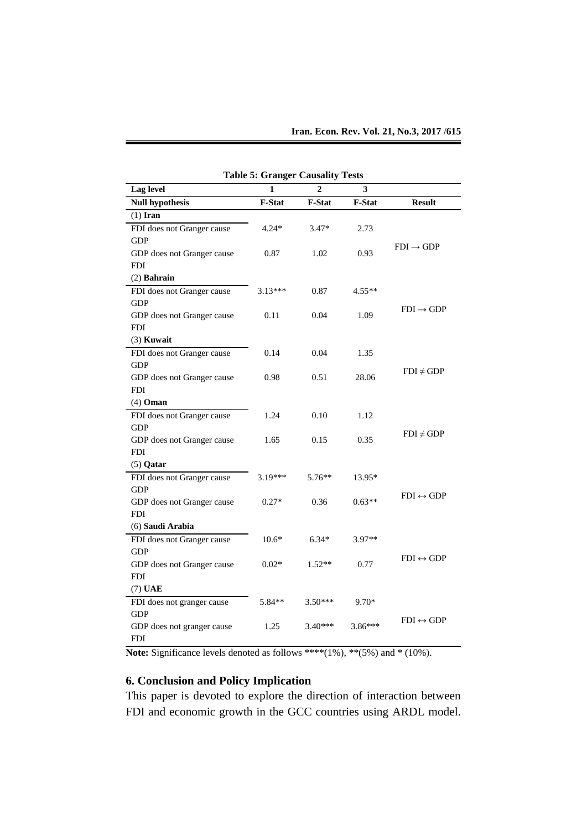| <b>Table 5: Granger Causality Tests</b> |           |                |           |                           |  |  |
|-----------------------------------------|-----------|----------------|-----------|---------------------------|--|--|
| Lag level                               | 1         | $\overline{2}$ | 3         |                           |  |  |
| <b>Null hypothesis</b>                  | F-Stat    | F-Stat         | F-Stat    | <b>Result</b>             |  |  |
| $(1)$ Iran                              |           |                |           |                           |  |  |
| FDI does not Granger cause              | $4.24*$   | $3.47*$        | 2.73      |                           |  |  |
| <b>GDP</b>                              |           |                |           |                           |  |  |
| GDP does not Granger cause              | 0.87      | 1.02           | 0.93      | $FDI \rightarrow GDP$     |  |  |
| <b>FDI</b>                              |           |                |           |                           |  |  |
| $(2)$ Bahrain                           |           |                |           |                           |  |  |
| FDI does not Granger cause              | $3.13***$ | 0.87           | $4.55**$  |                           |  |  |
| <b>GDP</b>                              |           |                |           |                           |  |  |
| GDP does not Granger cause              | 0.11      | 0.04           | 1.09      | $FDI \rightarrow GDP$     |  |  |
| <b>FDI</b>                              |           |                |           |                           |  |  |
| $(3)$ Kuwait                            |           |                |           |                           |  |  |
| FDI does not Granger cause              | 0.14      | 0.04           | 1.35      |                           |  |  |
| <b>GDP</b>                              |           |                |           |                           |  |  |
| GDP does not Granger cause              | 0.98      | 0.51           | 28.06     | $FDI \neq GDP$            |  |  |
| <b>FDI</b>                              |           |                |           |                           |  |  |
| $(4)$ Oman                              |           |                |           |                           |  |  |
| FDI does not Granger cause              | 1.24      | 0.10           | 1.12      |                           |  |  |
| <b>GDP</b>                              |           |                |           |                           |  |  |
| GDP does not Granger cause              | 1.65      | 0.15           | 0.35      | $FDI \neq GDP$            |  |  |
| <b>FDI</b>                              |           |                |           |                           |  |  |
| $(5)$ Qatar                             |           |                |           |                           |  |  |
| FDI does not Granger cause              | $3.19***$ | $5.76**$       | 13.95*    |                           |  |  |
| <b>GDP</b>                              |           |                |           |                           |  |  |
| GDP does not Granger cause              | $0.27*$   | 0.36           | $0.63**$  | $FDI \leftrightarrow GDP$ |  |  |
| <b>FDI</b>                              |           |                |           |                           |  |  |
| (6) Saudi Arabia                        |           |                |           |                           |  |  |
| FDI does not Granger cause              | $10.6*$   | $6.34*$        | 3.97**    |                           |  |  |
| <b>GDP</b>                              |           |                |           | $FDI \leftrightarrow GDP$ |  |  |
| GDP does not Granger cause              | $0.02*$   | $1.52**$       | 0.77      |                           |  |  |
| <b>FDI</b>                              |           |                |           |                           |  |  |
| $(7)$ UAE                               |           |                |           |                           |  |  |
| FDI does not granger cause              | 5.84**    | $3.50***$      | 9.70*     |                           |  |  |
| <b>GDP</b>                              |           |                |           |                           |  |  |
| GDP does not granger cause              | 1.25      | $3.40***$      | $3.86***$ | $FDI \leftrightarrow GDP$ |  |  |
| <b>FDI</b>                              |           |                |           |                           |  |  |

**Note:** Significance levels denoted as follows \*\*\*\*(1%), \*\*(5%) and \* (10%).

## **6. Conclusion and Policy Implication**

This paper is devoted to explore the direction of interaction between FDI and economic growth in the GCC countries using ARDL model.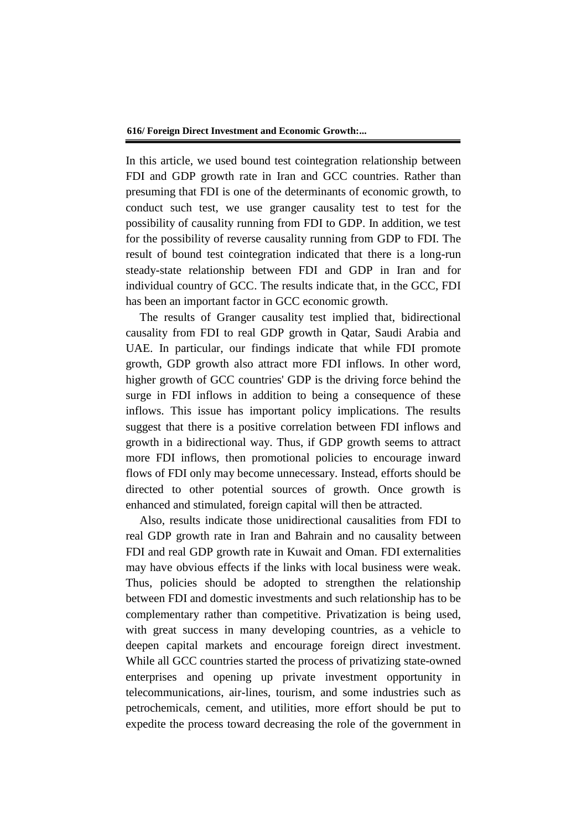In this article, we used bound test cointegration relationship between FDI and GDP growth rate in Iran and GCC countries. Rather than presuming that FDI is one of the determinants of economic growth, to conduct such test, we use granger causality test to test for the possibility of causality running from FDI to GDP. In addition, we test for the possibility of reverse causality running from GDP to FDI. The result of bound test cointegration indicated that there is a long-run steady-state relationship between FDI and GDP in Iran and for individual country of GCC. The results indicate that, in the GCC, FDI has been an important factor in GCC economic growth.

The results of Granger causality test implied that, bidirectional causality from FDI to real GDP growth in Qatar, Saudi Arabia and UAE. In particular, our findings indicate that while FDI promote growth, GDP growth also attract more FDI inflows. In other word, higher growth of GCC countries' GDP is the driving force behind the surge in FDI inflows in addition to being a consequence of these inflows. This issue has important policy implications. The results suggest that there is a positive correlation between FDI inflows and growth in a bidirectional way. Thus, if GDP growth seems to attract more FDI inflows, then promotional policies to encourage inward flows of FDI only may become unnecessary. Instead, efforts should be directed to other potential sources of growth. Once growth is enhanced and stimulated, foreign capital will then be attracted.

Also, results indicate those unidirectional causalities from FDI to real GDP growth rate in Iran and Bahrain and no causality between FDI and real GDP growth rate in Kuwait and Oman. FDI externalities may have obvious effects if the links with local business were weak. Thus, policies should be adopted to strengthen the relationship between FDI and domestic investments and such relationship has to be complementary rather than competitive. Privatization is being used, with great success in many developing countries, as a vehicle to deepen capital markets and encourage foreign direct investment. While all GCC countries started the process of privatizing state-owned enterprises and opening up private investment opportunity in telecommunications, air-lines, tourism, and some industries such as petrochemicals, cement, and utilities, more effort should be put to expedite the process toward decreasing the role of the government in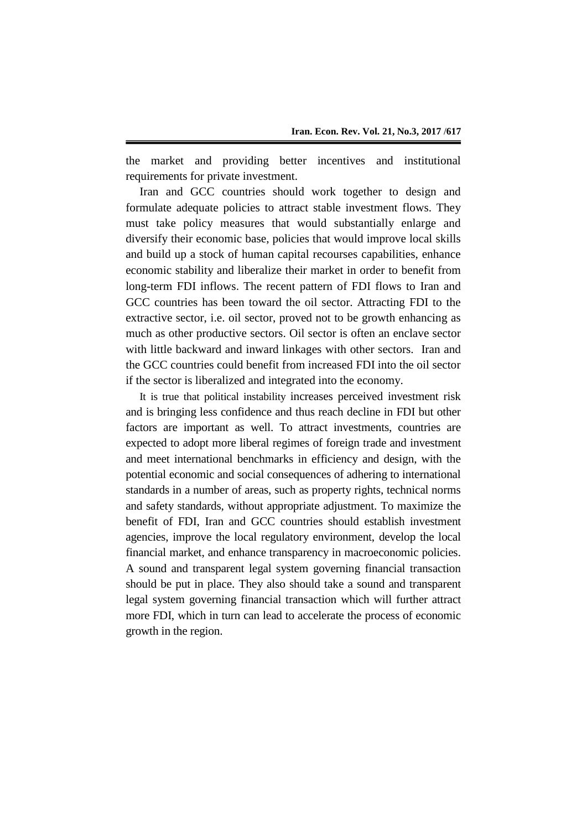the market and providing better incentives and institutional requirements for private investment.

Iran and GCC countries should work together to design and formulate adequate policies to attract stable investment flows. They must take policy measures that would substantially enlarge and diversify their economic base, policies that would improve local skills and build up a stock of human capital recourses capabilities, enhance economic stability and liberalize their market in order to benefit from long-term FDI inflows. The recent pattern of FDI flows to Iran and GCC countries has been toward the oil sector. Attracting FDI to the extractive sector, i.e. oil sector, proved not to be growth enhancing as much as other productive sectors. Oil sector is often an enclave sector with little backward and inward linkages with other sectors. Iran and the GCC countries could benefit from increased FDI into the oil sector if the sector is liberalized and integrated into the economy.

It is true that political instability increases perceived investment risk and is bringing less confidence and thus reach decline in FDI but other factors are important as well. To attract investments, countries are expected to adopt more liberal regimes of foreign trade and investment and meet international benchmarks in efficiency and design, with the potential economic and social consequences of adhering to international standards in a number of areas, such as property rights, technical norms and safety standards, without appropriate adjustment. To maximize the benefit of FDI, Iran and GCC countries should establish investment agencies, improve the local regulatory environment, develop the local financial market, and enhance transparency in macroeconomic policies. A sound and transparent legal system governing financial transaction should be put in place. They also should take a sound and transparent legal system governing financial transaction which will further attract more FDI, which in turn can lead to accelerate the process of economic growth in the region.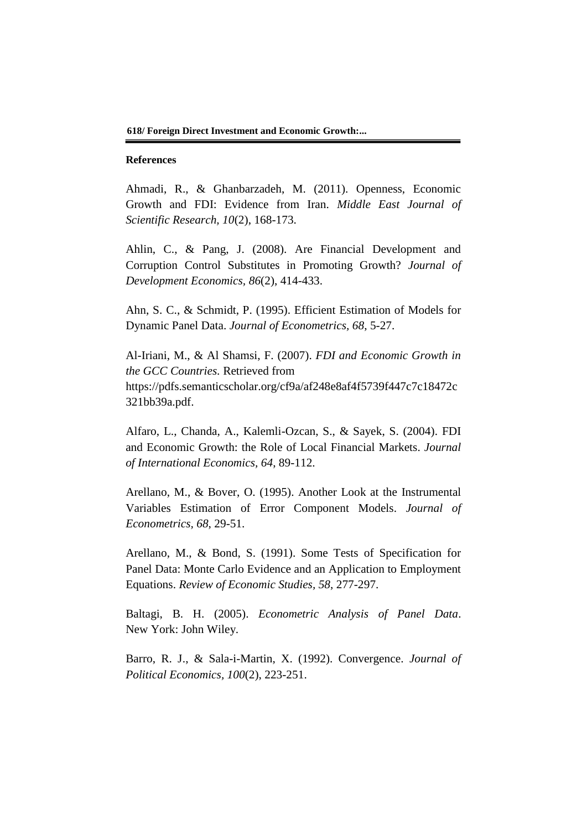#### **References**

Ahmadi, R., & Ghanbarzadeh, M. (2011). Openness, Economic Growth and FDI: Evidence from Iran. *Middle East Journal of Scientific Research, 10*(2), 168-173.

Ahlin, C., & Pang, J. (2008). Are Financial Development and Corruption Control Substitutes in Promoting Growth? *Journal of Development Economics, 86*(2), 414-433.

Ahn, S. C., & Schmidt, P. (1995). Efficient Estimation of Models for Dynamic Panel Data. *Journal of Econometrics, 68*, 5-27.

Al-Iriani, M., & Al Shamsi, F. (2007). *FDI and Economic Growth in the GCC Countries.* Retrieved from https://pdfs.semanticscholar.org/cf9a/af248e8af4f5739f447c7c18472c 321bb39a.pdf.

Alfaro, L., Chanda, A., Kalemli-Ozcan, S., & Sayek, S. (2004). FDI and Economic Growth: the Role of Local Financial Markets. *Journal of International Economics, 64*, 89-112.

Arellano, M., & Bover, O. (1995). Another Look at the Instrumental Variables Estimation of Error Component Models. *Journal of Econometrics, 68*, 29-51.

Arellano, M., & Bond, S. (1991). Some Tests of Specification for Panel Data: Monte Carlo Evidence and an Application to Employment Equations. *Review of Economic Studies, 58*, 277-297.

Baltagi, B. H. (2005). *Econometric Analysis of Panel Data*. New York: John Wiley.

Barro, R. J., & Sala-i-Martin, X. (1992). Convergence. *Journal of Political Economics, 100*(2), 223-251.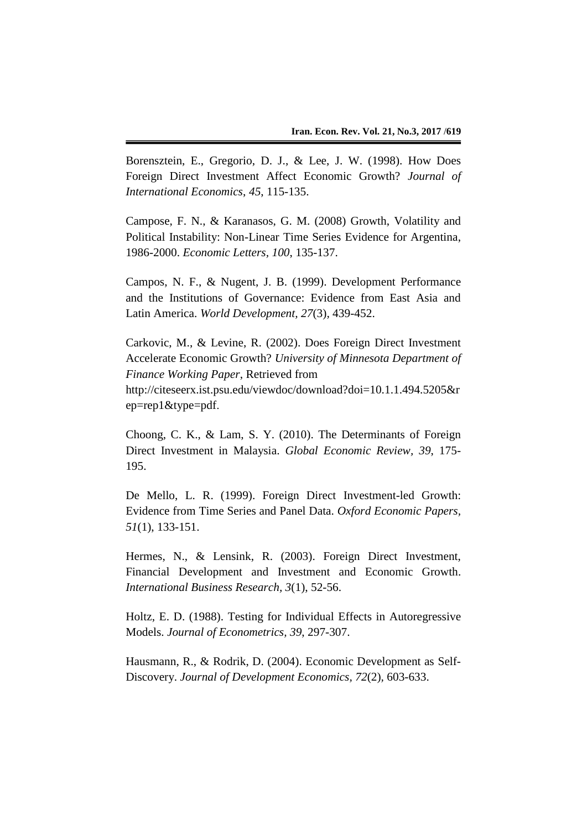Borensztein, E., Gregorio, D. J., & Lee, J. W. (1998). How Does Foreign Direct Investment Affect Economic Growth? *Journal of International Economics*, *45*, 115-135.

Campose, F. N., & Karanasos, G. M. (2008) Growth, Volatility and Political Instability: Non-Linear Time Series Evidence for Argentina, 1986-2000. *Economic Letters, 100*, 135-137.

Campos, N. F., & Nugent, J. B. (1999). Development Performance and the Institutions of Governance: Evidence from East Asia and Latin America. *World Development, 27*(3)*,* 439-452.

Carkovic, M., & Levine, R. (2002). Does Foreign Direct Investment Accelerate Economic Growth? *University of Minnesota Department of Finance Working Paper*, Retrieved from http://citeseerx.ist.psu.edu/viewdoc/download?doi=10.1.1.494.5205&r ep=rep1&type=pdf.

Choong, C. K., & Lam, S. Y. (2010). The Determinants of Foreign Direct Investment in Malaysia. *Global Economic Review, 39*, 175- 195.

De Mello, L. R. (1999). Foreign Direct Investment-led Growth: Evidence from Time Series and Panel Data. *Oxford Economic Papers, 51*(1), 133-151.

Hermes, N., & Lensink, R. (2003). Foreign Direct Investment, Financial Development and Investment and Economic Growth. *International Business Research, 3*(1), 52-56.

Holtz, E. D. (1988). Testing for Individual Effects in Autoregressive Models. *Journal of Econometrics, 39*, 297-307.

Hausmann, R., & Rodrik, D. (2004). Economic Development as Self-Discovery. *Journal of Development Economics, 72*(2)*,* 603-633.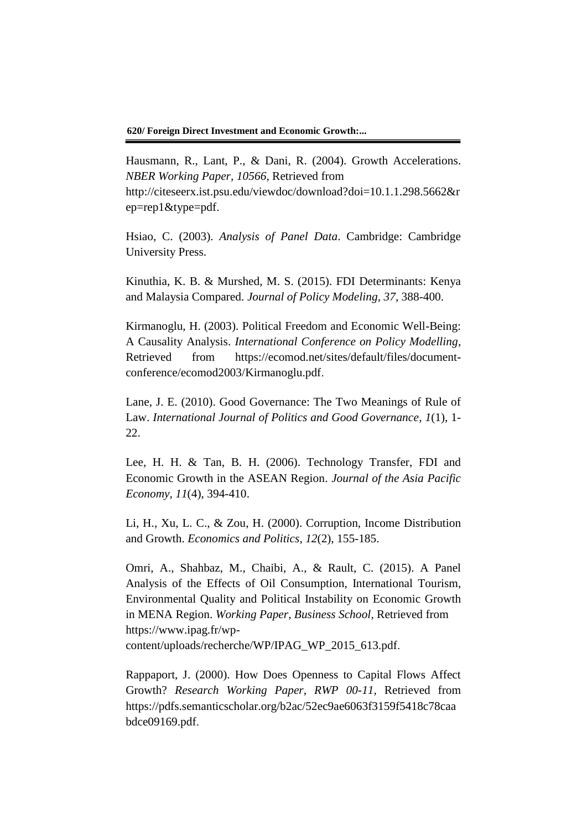**620/ Foreign Direct Investment and Economic Growth:...**

Hausmann, R., Lant, P., & Dani, R. (2004). Growth Accelerations. *NBER Working Paper, 10566*, Retrieved from http://citeseerx.ist.psu.edu/viewdoc/download?doi=10.1.1.298.5662&r ep=rep1&type=pdf.

Hsiao, C. (2003). *Analysis of Panel Data*. Cambridge: Cambridge University Press.

Kinuthia, K. B. & Murshed, M. S. (2015). FDI Determinants: Kenya and Malaysia Compared. *Journal of Policy Modeling, 37*, 388-400.

Kirmanoglu, H. (2003). Political Freedom and Economic Well-Being: A Causality Analysis. *International Conference on Policy Modelling*, Retrieved from https://ecomod.net/sites/default/files/documentconference/ecomod2003/Kirmanoglu.pdf.

Lane, J. E. (2010). Good Governance: The Two Meanings of Rule of Law. *International Journal of Politics and Good Governance, 1*(1), 1- 22.

Lee, H. H. & Tan, B. H. (2006). Technology Transfer, FDI and Economic Growth in the ASEAN Region. *Journal of the Asia Pacific Economy, 11*(4), 394-410.

Li, H., Xu, L. C., & Zou, H. (2000). Corruption, Income Distribution and Growth. *Economics and Politics, 12*(2), 155-185.

Omri, A., Shahbaz, M., Chaibi, A., & Rault, C. (2015). A Panel Analysis of the Effects of Oil Consumption, International Tourism, Environmental Quality and Political Instability on Economic Growth in MENA Region. *Working Paper*, *Business School,* Retrieved from https://www.ipag.fr/wpcontent/uploads/recherche/WP/IPAG\_WP\_2015\_613.pdf.

Rappaport, J. (2000). How Does Openness to Capital Flows Affect Growth? *Research Working Paper*, *RWP 00-11,* Retrieved from https://pdfs.semanticscholar.org/b2ac/52ec9ae6063f3159f5418c78caa bdce09169.pdf.